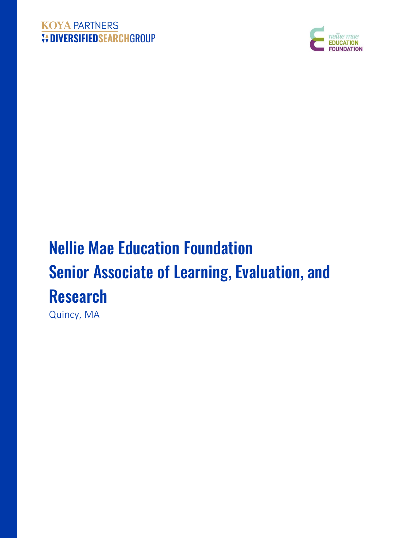## **KOYA PARTNERS VOIVERSIFIEDSEARCHGROUP**



# Nellie Mae Education Foundation Senior Associate of Learning, Evaluation, and Research

Quincy, MA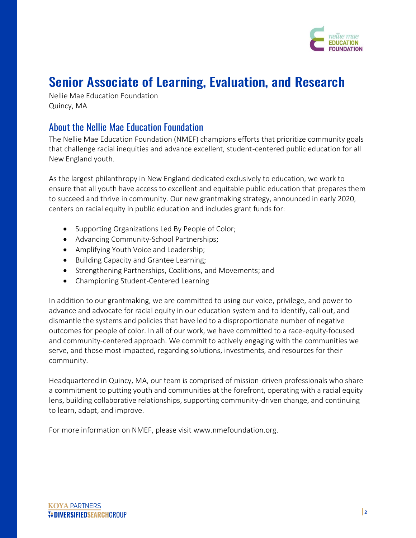

## Senior Associate of Learning, Evaluation, and Research

Nellie Mae Education Foundation Quincy, MA

## About the Nellie Mae Education Foundation

The Nellie Mae Education Foundation (NMEF) champions efforts that prioritize community goals that challenge racial inequities and advance excellent, student-centered public education for all New England youth.

As the largest philanthropy in New England dedicated exclusively to education, we work to ensure that all youth have access to excellent and equitable public education that prepares them to succeed and thrive in community. Our new grantmaking strategy, announced in early 2020, centers on racial equity in public education and includes grant funds for:

- Supporting Organizations Led By People of Color;
- Advancing Community-School Partnerships;
- Amplifying Youth Voice and Leadership;
- Building Capacity and Grantee Learning;
- Strengthening Partnerships, Coalitions, and Movements; and
- Championing Student-Centered Learning

In addition to our grantmaking, we are committed to using our voice, privilege, and power to advance and advocate for racial equity in our education system and to identify, call out, and dismantle the systems and policies that have led to a disproportionate number of negative outcomes for people of color. In all of our work, we have committed to a race-equity-focused and community-centered approach. We commit to actively engaging with the communities we serve, and those most impacted, regarding solutions, investments, and resources for their community.

Headquartered in Quincy, MA, our team is comprised of mission-driven professionals who share a commitment to putting youth and communities at the forefront, operating with a racial equity lens, building collaborative relationships, supporting community-driven change, and continuing to learn, adapt, and improve.

For more information on NMEF, please visit [www.nmefoundation.org.](https://www.nmefoundation.org/)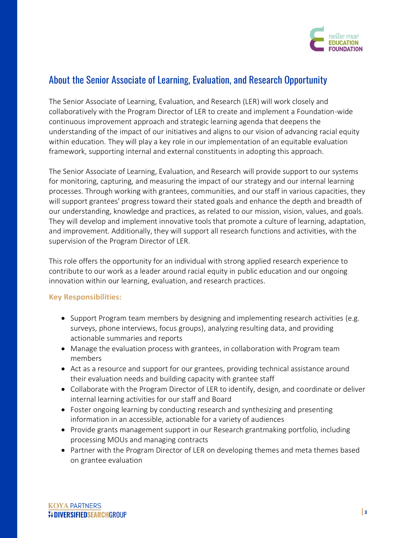

## About the Senior Associate of Learning, Evaluation, and Research Opportunity

The Senior Associate of Learning, Evaluation, and Research (LER) will work closely and collaboratively with the Program Director of LER to create and implement a Foundation-wide continuous improvement approach and strategic learning agenda that deepens the understanding of the impact of our initiatives and aligns to our vision of advancing racial equity within education. They will play a key role in our implementation of an equitable evaluation framework, supporting internal and external constituents in adopting this approach.

The Senior Associate of Learning, Evaluation, and Research will provide support to our systems for monitoring, capturing, and measuring the impact of our strategy and our internal learning processes. Through working with grantees, communities, and our staff in various capacities, they will support grantees' progress toward their stated goals and enhance the depth and breadth of our understanding, knowledge and practices, as related to our mission, vision, values, and goals. They will develop and implement innovative tools that promote a culture of learning, adaptation, and improvement. Additionally, they will support all research functions and activities, with the supervision of the Program Director of LER.

This role offers the opportunity for an individual with strong applied research experience to contribute to our work as a leader around racial equity in public education and our ongoing innovation within our learning, evaluation, and research practices.

#### **Key Responsibilities:**

- Support Program team members by designing and implementing research activities (e.g. surveys, phone interviews, focus groups), analyzing resulting data, and providing actionable summaries and reports
- Manage the evaluation process with grantees, in collaboration with Program team members
- Act as a resource and support for our grantees, providing technical assistance around their evaluation needs and building capacity with grantee staff
- Collaborate with the Program Director of LER to identify, design, and coordinate or deliver internal learning activities for our staff and Board
- Foster ongoing learning by conducting research and synthesizing and presenting information in an accessible, actionable for a variety of audiences
- Provide grants management support in our Research grantmaking portfolio, including processing MOUs and managing contracts
- Partner with the Program Director of LER on developing themes and meta themes based on grantee evaluation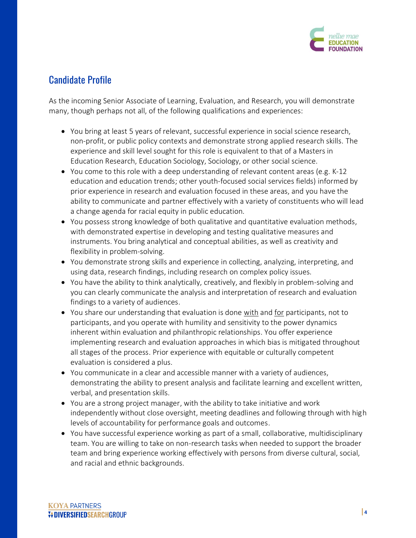

## Candidate Profile

As the incoming Senior Associate of Learning, Evaluation, and Research, you will demonstrate many, though perhaps not all, of the following qualifications and experiences:

- You bring at least 5 years of relevant, successful experience in social science research, non-profit, or public policy contexts and demonstrate strong applied research skills. The experience and skill level sought for this role is equivalent to that of a Masters in Education Research, Education Sociology, Sociology, or other social science.
- You come to this role with a deep understanding of relevant content areas (e.g. K-12) education and education trends; other youth-focused social services fields) informed by prior experience in research and evaluation focused in these areas, and you have the ability to communicate and partner effectively with a variety of constituents who will lead a change agenda for racial equity in public education.
- You possess strong knowledge of both qualitative and quantitative evaluation methods, with demonstrated expertise in developing and testing qualitative measures and instruments. You bring analytical and conceptual abilities, as well as creativity and flexibility in problem-solving.
- You demonstrate strong skills and experience in collecting, analyzing, interpreting, and using data, research findings, including research on complex policy issues.
- You have the ability to think analytically, creatively, and flexibly in problem-solving and you can clearly communicate the analysis and interpretation of research and evaluation findings to a variety of audiences.
- You share our understanding that evaluation is done with and for participants, not to participants, and you operate with humility and sensitivity to the power dynamics inherent within evaluation and philanthropic relationships. You offer experience implementing research and evaluation approaches in which bias is mitigated throughout all stages of the process. Prior experience with equitable or culturally competent evaluation is considered a plus.
- You communicate in a clear and accessible manner with a variety of audiences, demonstrating the ability to present analysis and facilitate learning and excellent written, verbal, and presentation skills.
- You are a strong project manager, with the ability to take initiative and work independently without close oversight, meeting deadlines and following through with high levels of accountability for performance goals and outcomes.
- You have successful experience working as part of a small, collaborative, multidisciplinary team. You are willing to take on non-research tasks when needed to support the broader team and bring experience working effectively with persons from diverse cultural, social, and racial and ethnic backgrounds.